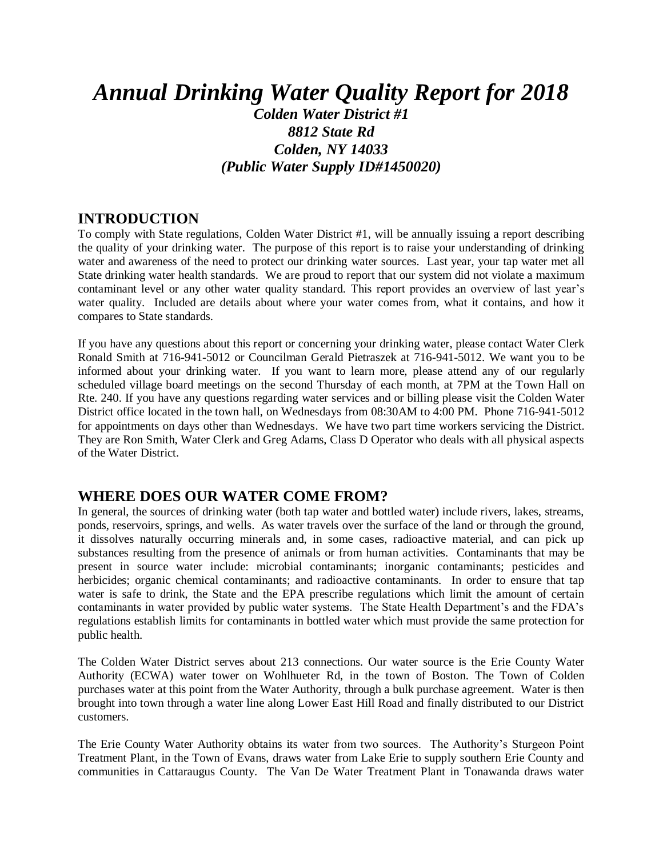# *Annual Drinking Water Quality Report for 2018*

*Colden Water District #1 8812 State Rd Colden, NY 14033 (Public Water Supply ID#1450020)*

### **INTRODUCTION**

To comply with State regulations, Colden Water District #1, will be annually issuing a report describing the quality of your drinking water. The purpose of this report is to raise your understanding of drinking water and awareness of the need to protect our drinking water sources. Last year, your tap water met all State drinking water health standards. We are proud to report that our system did not violate a maximum contaminant level or any other water quality standard. This report provides an overview of last year's water quality. Included are details about where your water comes from, what it contains, and how it compares to State standards.

If you have any questions about this report or concerning your drinking water, please contact Water Clerk Ronald Smith at 716-941-5012 or Councilman Gerald Pietraszek at 716-941-5012. We want you to be informed about your drinking water. If you want to learn more, please attend any of our regularly scheduled village board meetings on the second Thursday of each month, at 7PM at the Town Hall on Rte. 240. If you have any questions regarding water services and or billing please visit the Colden Water District office located in the town hall, on Wednesdays from 08:30AM to 4:00 PM. Phone 716-941-5012 for appointments on days other than Wednesdays. We have two part time workers servicing the District. They are Ron Smith, Water Clerk and Greg Adams, Class D Operator who deals with all physical aspects of the Water District.

### **WHERE DOES OUR WATER COME FROM?**

In general, the sources of drinking water (both tap water and bottled water) include rivers, lakes, streams, ponds, reservoirs, springs, and wells. As water travels over the surface of the land or through the ground, it dissolves naturally occurring minerals and, in some cases, radioactive material, and can pick up substances resulting from the presence of animals or from human activities. Contaminants that may be present in source water include: microbial contaminants; inorganic contaminants; pesticides and herbicides; organic chemical contaminants; and radioactive contaminants. In order to ensure that tap water is safe to drink, the State and the EPA prescribe regulations which limit the amount of certain contaminants in water provided by public water systems. The State Health Department's and the FDA's regulations establish limits for contaminants in bottled water which must provide the same protection for public health.

The Colden Water District serves about 213 connections. Our water source is the Erie County Water Authority (ECWA) water tower on Wohlhueter Rd, in the town of Boston. The Town of Colden purchases water at this point from the Water Authority, through a bulk purchase agreement. Water is then brought into town through a water line along Lower East Hill Road and finally distributed to our District customers.

The Erie County Water Authority obtains its water from two sources. The Authority's Sturgeon Point Treatment Plant, in the Town of Evans, draws water from Lake Erie to supply southern Erie County and communities in Cattaraugus County. The Van De Water Treatment Plant in Tonawanda draws water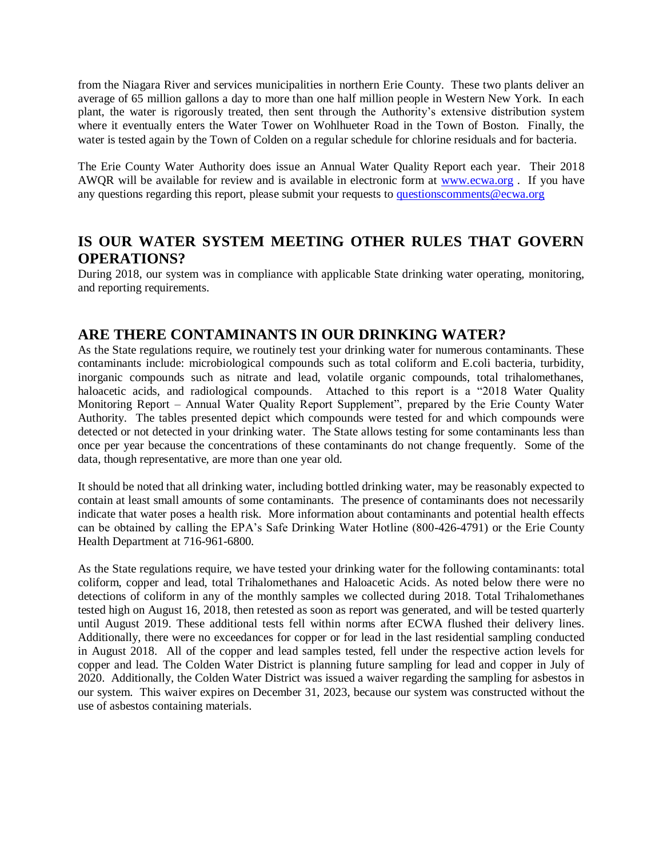from the Niagara River and services municipalities in northern Erie County. These two plants deliver an average of 65 million gallons a day to more than one half million people in Western New York. In each plant, the water is rigorously treated, then sent through the Authority's extensive distribution system where it eventually enters the Water Tower on Wohlhueter Road in the Town of Boston. Finally, the water is tested again by the Town of Colden on a regular schedule for chlorine residuals and for bacteria.

The Erie County Water Authority does issue an Annual Water Quality Report each year. Their 2018 AWQR will be available for review and is available in electronic form at [www.ecwa.org](http://www.ecwa.org/) . If you have any questions regarding this report, please submit your requests to [questionscomments@ecwa.org](mailto:questionscomments@ecwa.org)

### **IS OUR WATER SYSTEM MEETING OTHER RULES THAT GOVERN OPERATIONS?**

During 2018, our system was in compliance with applicable State drinking water operating, monitoring, and reporting requirements.

### **ARE THERE CONTAMINANTS IN OUR DRINKING WATER?**

As the State regulations require, we routinely test your drinking water for numerous contaminants. These contaminants include: microbiological compounds such as total coliform and E.coli bacteria, turbidity, inorganic compounds such as nitrate and lead, volatile organic compounds, total trihalomethanes, haloacetic acids, and radiological compounds. Attached to this report is a "2018 Water Quality Monitoring Report – Annual Water Quality Report Supplement", prepared by the Erie County Water Authority. The tables presented depict which compounds were tested for and which compounds were detected or not detected in your drinking water. The State allows testing for some contaminants less than once per year because the concentrations of these contaminants do not change frequently. Some of the data, though representative, are more than one year old.

It should be noted that all drinking water, including bottled drinking water, may be reasonably expected to contain at least small amounts of some contaminants. The presence of contaminants does not necessarily indicate that water poses a health risk. More information about contaminants and potential health effects can be obtained by calling the EPA's Safe Drinking Water Hotline (800-426-4791) or the Erie County Health Department at 716-961-6800.

As the State regulations require, we have tested your drinking water for the following contaminants: total coliform, copper and lead, total Trihalomethanes and Haloacetic Acids. As noted below there were no detections of coliform in any of the monthly samples we collected during 2018. Total Trihalomethanes tested high on August 16, 2018, then retested as soon as report was generated, and will be tested quarterly until August 2019. These additional tests fell within norms after ECWA flushed their delivery lines. Additionally, there were no exceedances for copper or for lead in the last residential sampling conducted in August 2018. All of the copper and lead samples tested, fell under the respective action levels for copper and lead. The Colden Water District is planning future sampling for lead and copper in July of 2020. Additionally, the Colden Water District was issued a waiver regarding the sampling for asbestos in our system. This waiver expires on December 31, 2023, because our system was constructed without the use of asbestos containing materials.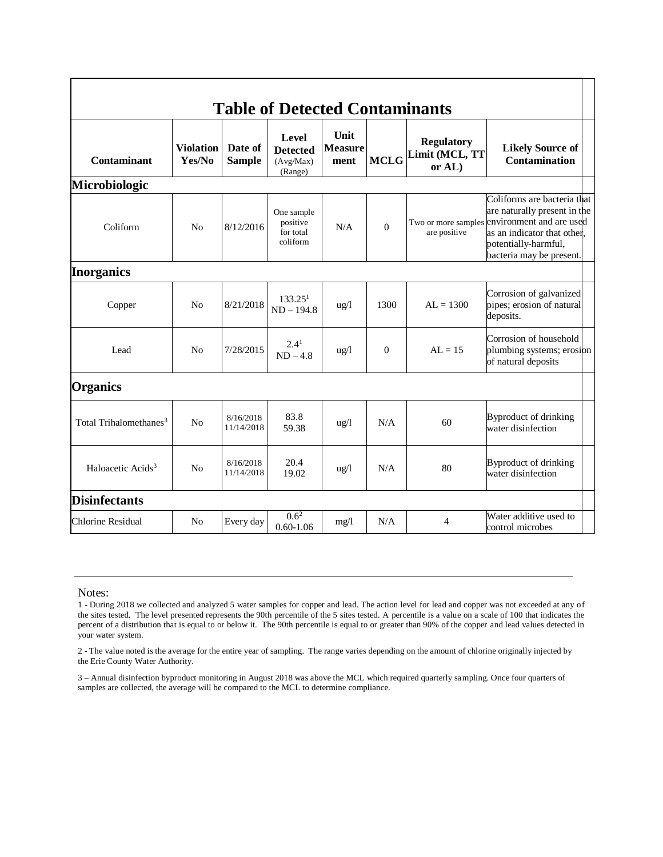| <b>Table of Detected Contaminants</b> |                            |                          |                                                  |                                       |             |                                               |                                                                                                                                                                                                |
|---------------------------------------|----------------------------|--------------------------|--------------------------------------------------|---------------------------------------|-------------|-----------------------------------------------|------------------------------------------------------------------------------------------------------------------------------------------------------------------------------------------------|
| Contaminant                           | <b>Violation</b><br>Yes/No | Date of<br><b>Sample</b> | Level<br><b>Detected</b><br>(Avg/Max)<br>(Range) | <b>Unit</b><br><b>Measure</b><br>ment | <b>MCLG</b> | <b>Regulatory</b><br>Limit (MCL, TT<br>or AL) | <b>Likely Source of</b><br><b>Contamination</b>                                                                                                                                                |
| <b>Microbiologic</b>                  |                            |                          |                                                  |                                       |             |                                               |                                                                                                                                                                                                |
| Coliform                              | N <sub>o</sub>             | 8/12/2016                | One sample<br>positive<br>for total<br>coliform  | N/A                                   | $\theta$    | are positive                                  | Coliforms are bacteria that<br>are naturally present in the<br>Two or more samples environment and are used<br>as an indicator that other,<br>potentially-harmful,<br>bacteria may be present. |
| <b>Inorganics</b>                     |                            |                          |                                                  |                                       |             |                                               |                                                                                                                                                                                                |
| Copper                                | N <sub>0</sub>             | 8/21/2018                | 133.25 <sup>1</sup><br>$ND - 194.8$              | $\frac{u\alpha}{l}$                   | 1300        | $AL = 1300$                                   | Corrosion of galvanized<br>pipes; erosion of natural<br>deposits.                                                                                                                              |
| Lead                                  | N <sub>0</sub>             | 7/28/2015                | $2.4^{1}$<br>$ND - 4.8$                          | $\frac{u g}{l}$                       | $\Omega$    | $AL = 15$                                     | Corrosion of household<br>plumbing systems; erosion<br>of natural deposits                                                                                                                     |
| <b>Organics</b>                       |                            |                          |                                                  |                                       |             |                                               |                                                                                                                                                                                                |
| Total Trihalomethanes <sup>3</sup>    | N <sub>o</sub>             | 8/16/2018<br>11/14/2018  | 83.8<br>59.38                                    | $\frac{u g}{l}$                       | N/A         | 60                                            | Byproduct of drinking<br>water disinfection                                                                                                                                                    |
| Haloacetic Acids <sup>3</sup>         | N <sub>0</sub>             | 8/16/2018<br>11/14/2018  | 20.4<br>19.02                                    | $\frac{u g}{l}$                       | N/A         | 80                                            | Byproduct of drinking<br>water disinfection                                                                                                                                                    |
| <b>Disinfectants</b>                  |                            |                          |                                                  |                                       |             |                                               |                                                                                                                                                                                                |
| Chlorine Residual                     | N <sub>o</sub>             | Every day                | $0.6^2$<br>$0.60 - 1.06$                         | mg/l                                  | N/A         | 4                                             | Water additive used to<br>control microbes                                                                                                                                                     |

#### Notes:

2 - The value noted is the average for the entire year of sampling. The range varies depending on the amount of chlorine originally injected by the Erie County Water Authority.

3 – Annual disinfection byproduct monitoring in August 2018 was above the MCL which required quarterly sampling. Once four quarters of samples are collected, the average will be compared to the MCL to determine compliance.

<sup>1 -</sup> During 2018 we collected and analyzed 5 water samples for copper and lead. The action level for lead and copper was not exceeded at any of the sites tested. The level presented represents the 90th percentile of the 5 sites tested. A percentile is a value on a scale of 100 that indicates the percent of a distribution that is equal to or below it. The 90th percentile is equal to or greater than 90% of the copper and lead values detected in your water system.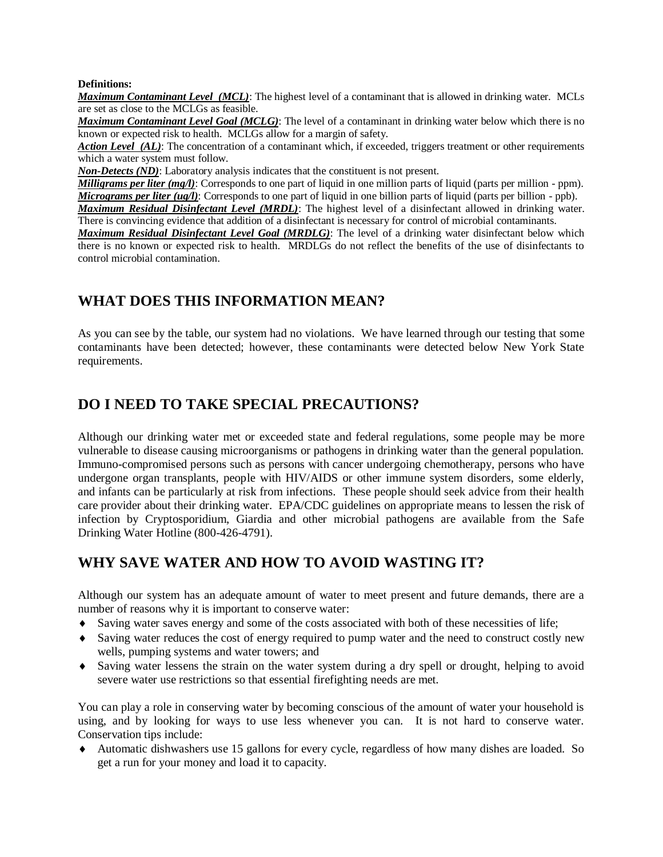#### **Definitions:**

*Maximum Contaminant Level (MCL)*: The highest level of a contaminant that is allowed in drinking water. MCLs are set as close to the MCLGs as feasible.

*Maximum Contaminant Level Goal (MCLG)*: The level of a contaminant in drinking water below which there is no known or expected risk to health. MCLGs allow for a margin of safety.

*Action Level (AL)*: The concentration of a contaminant which, if exceeded, triggers treatment or other requirements which a water system must follow.

*Non-Detects (ND)*: Laboratory analysis indicates that the constituent is not present.

*Milligrams per liter (mg/l)*: Corresponds to one part of liquid in one million parts of liquid (parts per million - ppm). *Micrograms per liter (ug/l)*: Corresponds to one part of liquid in one billion parts of liquid (parts per billion - ppb).

*Maximum Residual Disinfectant Level (MRDL)*: The highest level of a disinfectant allowed in drinking water. There is convincing evidence that addition of a disinfectant is necessary for control of microbial contaminants.

*Maximum Residual Disinfectant Level Goal (MRDLG)*: The level of a drinking water disinfectant below which there is no known or expected risk to health. MRDLGs do not reflect the benefits of the use of disinfectants to control microbial contamination.

## **WHAT DOES THIS INFORMATION MEAN?**

As you can see by the table, our system had no violations. We have learned through our testing that some contaminants have been detected; however, these contaminants were detected below New York State requirements.

## **DO I NEED TO TAKE SPECIAL PRECAUTIONS?**

Although our drinking water met or exceeded state and federal regulations, some people may be more vulnerable to disease causing microorganisms or pathogens in drinking water than the general population. Immuno-compromised persons such as persons with cancer undergoing chemotherapy, persons who have undergone organ transplants, people with HIV/AIDS or other immune system disorders, some elderly, and infants can be particularly at risk from infections. These people should seek advice from their health care provider about their drinking water. EPA/CDC guidelines on appropriate means to lessen the risk of infection by Cryptosporidium, Giardia and other microbial pathogens are available from the Safe Drinking Water Hotline (800-426-4791).

## **WHY SAVE WATER AND HOW TO AVOID WASTING IT?**

Although our system has an adequate amount of water to meet present and future demands, there are a number of reasons why it is important to conserve water:

- Saving water saves energy and some of the costs associated with both of these necessities of life;
- Saving water reduces the cost of energy required to pump water and the need to construct costly new wells, pumping systems and water towers; and
- Saving water lessens the strain on the water system during a dry spell or drought, helping to avoid severe water use restrictions so that essential firefighting needs are met.

You can play a role in conserving water by becoming conscious of the amount of water your household is using, and by looking for ways to use less whenever you can. It is not hard to conserve water. Conservation tips include:

 Automatic dishwashers use 15 gallons for every cycle, regardless of how many dishes are loaded. So get a run for your money and load it to capacity.